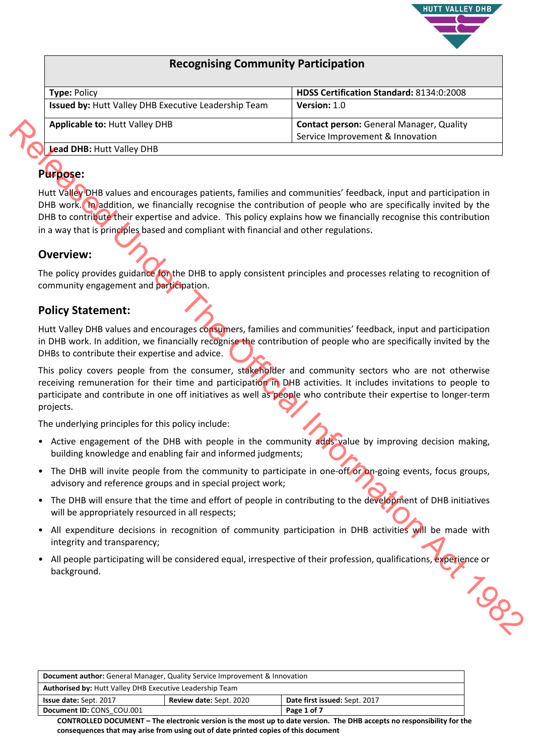

## **Recognising Community Participation**

| <b>Type: Policy</b>                                  | HDSS Certification Standard: 8134:0:2008        |
|------------------------------------------------------|-------------------------------------------------|
| Issued by: Hutt Valley DHB Executive Leadership Team | <b>Version: 1.0</b>                             |
| <b>Applicable to: Hutt Valley DHB</b>                | <b>Contact person: General Manager, Quality</b> |
|                                                      | Service Improvement & Innovation                |
| <b>Lead DHB: Hutt Valley DHB</b>                     |                                                 |

# **Purpose:**

Hutt Valley DHB values and encourages patients, families and communities' feedback, input and participation in DHB work. In addition, we financially recognise the contribution of people who are specifically invited by the DHB to contribute their expertise and advice. This policy explains how we financially recognise this contribution in a way that is principles based and compliant with financial and other regulations. **Explicable to: Hutt Valley OHB**<br> **Contact Distribution** Service Improvement & Introvasion<br> **Photographs Hutt Valley OHB**<br>
Distribution, we financially recognize patients, furnities and communities' feedback, input and par

## **Overview:**

The policy provides guidance for the DHB to apply consistent principles and processes relating to recognition of community engagement and participation.

## **Policy Statement:**

Hutt Valley DHB values and encourages consumers, families and communities' feedback, input and participation in DHB work. In addition, we financially recognise the contribution of people who are specifically invited by the DHBs to contribute their expertise and advice.

This policy covers people from the consumer, stakeholder and community sectors who are not otherwise receiving remuneration for their time and participation in DHB activities. It includes invitations to people to participate and contribute in one off initiatives as well as people who contribute their expertise to longer-term projects.

The underlying principles for this policy include:

- Active engagement of the DHB with people in the community adds value by improving decision making, building knowledge and enabling fair and informed judgments;
- The DHB will invite people from the community to participate in one-off or on-going events, focus groups, advisory and reference groups and in special project work;
- The DHB will ensure that the time and effort of people in contributing to the development of DHB initiatives will be appropriately resourced in all respects;
- All expenditure decisions in recognition of community participation in DHB activities will be made with integrity and transparency;
- All people participating will be considered equal, irrespective of their profession, qualifications, experience or background.

| <b>Document author:</b> General Manager, Quality Service Improvement & Innovation |  |                               |
|-----------------------------------------------------------------------------------|--|-------------------------------|
| <b>Authorised by: Hutt Valley DHB Executive Leadership Team</b>                   |  |                               |
| <b>Review date: Sept. 2020</b><br><b>Issue date: Sept. 2017</b>                   |  | Date first issued: Sept. 2017 |
| Document ID: CONS COU.001                                                         |  | Page 1 of 7                   |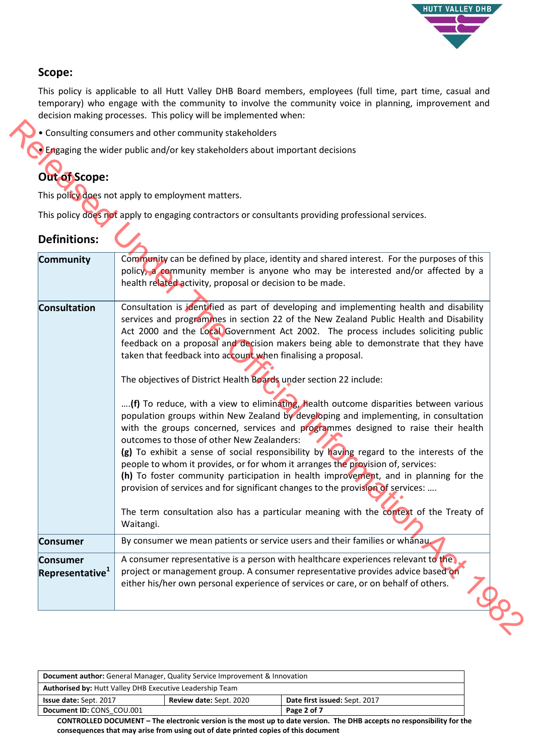

# **Scope:**

This policy is applicable to all Hutt Valley DHB Board members, employees (full time, part time, casual and temporary) who engage with the community to involve the community voice in planning, improvement and decision making processes. This policy will be implemented when:

# **Out of Scope:**

| <b>Out of Scope:</b>                           | Engaging the wider public and/or key stakeholders about important decisions                                                                                                                                                                                                                                                                                                                                                                                                                                                                                                                                                                                                                                                                                                                                                                                                                                                                                                                                                                                                                                                                                                                                                                                                             |
|------------------------------------------------|-----------------------------------------------------------------------------------------------------------------------------------------------------------------------------------------------------------------------------------------------------------------------------------------------------------------------------------------------------------------------------------------------------------------------------------------------------------------------------------------------------------------------------------------------------------------------------------------------------------------------------------------------------------------------------------------------------------------------------------------------------------------------------------------------------------------------------------------------------------------------------------------------------------------------------------------------------------------------------------------------------------------------------------------------------------------------------------------------------------------------------------------------------------------------------------------------------------------------------------------------------------------------------------------|
|                                                | This policy does not apply to employment matters.                                                                                                                                                                                                                                                                                                                                                                                                                                                                                                                                                                                                                                                                                                                                                                                                                                                                                                                                                                                                                                                                                                                                                                                                                                       |
|                                                | This policy does not apply to engaging contractors or consultants providing professional services.                                                                                                                                                                                                                                                                                                                                                                                                                                                                                                                                                                                                                                                                                                                                                                                                                                                                                                                                                                                                                                                                                                                                                                                      |
|                                                |                                                                                                                                                                                                                                                                                                                                                                                                                                                                                                                                                                                                                                                                                                                                                                                                                                                                                                                                                                                                                                                                                                                                                                                                                                                                                         |
| <b>Definitions:</b>                            |                                                                                                                                                                                                                                                                                                                                                                                                                                                                                                                                                                                                                                                                                                                                                                                                                                                                                                                                                                                                                                                                                                                                                                                                                                                                                         |
| Community                                      | Community can be defined by place, identity and shared interest. For the purposes of this<br>policy, a community member is anyone who may be interested and/or affected by a<br>health related activity, proposal or decision to be made.                                                                                                                                                                                                                                                                                                                                                                                                                                                                                                                                                                                                                                                                                                                                                                                                                                                                                                                                                                                                                                               |
| Consultation                                   | Consultation is identified as part of developing and implementing health and disability<br>services and programmes in section 22 of the New Zealand Public Health and Disability<br>Act 2000 and the Local Government Act 2002. The process includes soliciting public<br>feedback on a proposal and decision makers being able to demonstrate that they have<br>taken that feedback into account when finalising a proposal.<br>The objectives of District Health Boards under section 22 include:<br>(f) To reduce, with a view to eliminating, health outcome disparities between various<br>population groups within New Zealand by developing and implementing, in consultation<br>with the groups concerned, services and programmes designed to raise their health<br>outcomes to those of other New Zealanders:<br>(g) To exhibit a sense of social responsibility by having regard to the interests of the<br>people to whom it provides, or for whom it arranges the provision of, services:<br>(h) To foster community participation in health improvement, and in planning for the<br>provision of services and for significant changes to the provision of services:<br>The term consultation also has a particular meaning with the context of the Treaty of<br>Waitangi. |
| <b>Consumer</b>                                | By consumer we mean patients or service users and their families or whanau.                                                                                                                                                                                                                                                                                                                                                                                                                                                                                                                                                                                                                                                                                                                                                                                                                                                                                                                                                                                                                                                                                                                                                                                                             |
| <b>Consumer</b><br>Representative <sup>1</sup> | A consumer representative is a person with healthcare experiences relevant to the<br>project or management group. A consumer representative provides advice based on<br>either his/her own personal experience of services or care, or on behalf of others.                                                                                                                                                                                                                                                                                                                                                                                                                                                                                                                                                                                                                                                                                                                                                                                                                                                                                                                                                                                                                             |

| Document author: General Manager, Quality Service Improvement & Innovation                       |  |             |  |
|--------------------------------------------------------------------------------------------------|--|-------------|--|
| <b>Authorised by: Hutt Valley DHB Executive Leadership Team</b>                                  |  |             |  |
| Date first issued: Sept. 2017<br><b>Review date: Sept. 2020</b><br><b>Issue date: Sept. 2017</b> |  |             |  |
| Document ID: CONS COU.001                                                                        |  | Page 2 of 7 |  |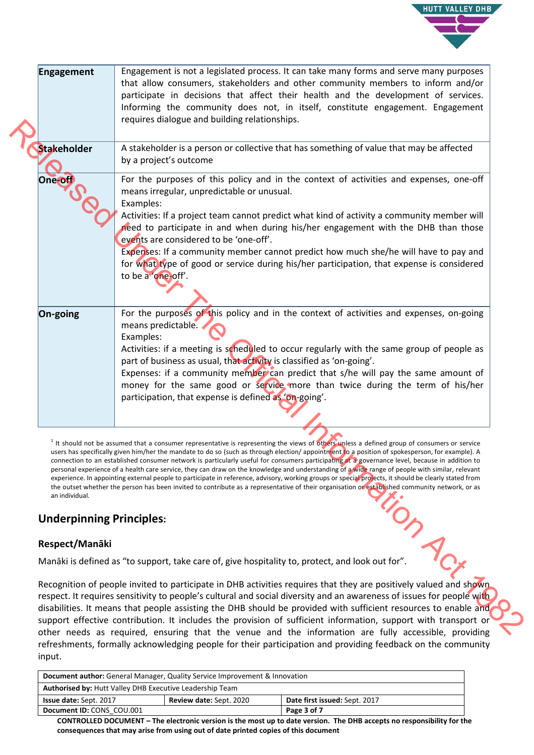

| <b>Engagement</b>               | Engagement is not a legislated process. It can take many forms and serve many purposes<br>that allow consumers, stakeholders and other community members to inform and/or<br>participate in decisions that affect their health and the development of services.<br>Informing the community does not, in itself, constitute engagement. Engagement<br>requires dialogue and building relationships.                                                                                                                                                                                                                                                                                                                                                                                                                                                                                                                         |
|---------------------------------|----------------------------------------------------------------------------------------------------------------------------------------------------------------------------------------------------------------------------------------------------------------------------------------------------------------------------------------------------------------------------------------------------------------------------------------------------------------------------------------------------------------------------------------------------------------------------------------------------------------------------------------------------------------------------------------------------------------------------------------------------------------------------------------------------------------------------------------------------------------------------------------------------------------------------|
| <b>Stakeholder</b>              | A stakeholder is a person or collective that has something of value that may be affected<br>by a project's outcome                                                                                                                                                                                                                                                                                                                                                                                                                                                                                                                                                                                                                                                                                                                                                                                                         |
| One-off                         | For the purposes of this policy and in the context of activities and expenses, one-off<br>means irregular, unpredictable or unusual.<br>Examples:<br>Activities: If a project team cannot predict what kind of activity a community member will<br>need to participate in and when during his/her engagement with the DHB than those                                                                                                                                                                                                                                                                                                                                                                                                                                                                                                                                                                                       |
|                                 | events are considered to be 'one-off'.<br>Expenses: If a community member cannot predict how much she/he will have to pay and<br>for what type of good or service during his/her participation, that expense is considered<br>to be a 'one-off'.                                                                                                                                                                                                                                                                                                                                                                                                                                                                                                                                                                                                                                                                           |
| On-going                        | For the purposes of this policy and in the context of activities and expenses, on-going<br>means predictable.<br>Examples:<br>Activities: if a meeting is scheduled to occur regularly with the same group of people as<br>part of business as usual, that activity is classified as 'on-going'.<br>Expenses: if a community member can predict that s/he will pay the same amount of<br>money for the same good or service more than twice during the term of his/her<br>participation, that expense is defined as 'on-going'.                                                                                                                                                                                                                                                                                                                                                                                            |
|                                 |                                                                                                                                                                                                                                                                                                                                                                                                                                                                                                                                                                                                                                                                                                                                                                                                                                                                                                                            |
| an individual.                  | <sup>1</sup> It should not be assumed that a consumer representative is representing the views of others unless a defined group of consumers or service<br>users has specifically given him/her the mandate to do so (such as through election/ appointment to a position of spokesperson, for example). A<br>connection to an established consumer network is particularly useful for consumers participating at a governance level, because in addition to<br>personal experience of a health care service, they can draw on the knowledge and understanding of a wide range of people with similar, relevant<br>experience. In appointing external people to participate in reference, advisory, working groups or special projects, it should be clearly stated from<br>the outset whether the person has been invited to contribute as a representative of their organisation or established community network, or as |
| <b>Underpinning Principles:</b> |                                                                                                                                                                                                                                                                                                                                                                                                                                                                                                                                                                                                                                                                                                                                                                                                                                                                                                                            |
| Respect/Manāki                  |                                                                                                                                                                                                                                                                                                                                                                                                                                                                                                                                                                                                                                                                                                                                                                                                                                                                                                                            |
|                                 | Manāki is defined as "to support, take care of, give hospitality to, protect, and look out for".                                                                                                                                                                                                                                                                                                                                                                                                                                                                                                                                                                                                                                                                                                                                                                                                                           |
|                                 | Recognition of people invited to participate in DHB activities requires that they are positively valued and shown<br>respect. It requires sensitivity to people's cultural and social diversity and an awareness of issues for people with<br>disabilities. It means that people assisting the DHB should be provided with sufficient resources to enable and<br>support effective contribution. It includes the provision of sufficient information, support with transport or<br>other needs as required, ensuring that the venue and the information are fully accessible, providing                                                                                                                                                                                                                                                                                                                                    |

# **Underpinning Principles:**

## **Respect/Manāki**

Recognition of people invited to participate in DHB activities requires that they are positively valued and shown respect. It requires sensitivity to people's cultural and social diversity and an awareness of issues for people with disabilities. It means that people assisting the DHB should be provided with sufficient resources to enable and support effective contribution. It includes the provision of sufficient information, support with transport or other needs as required, ensuring that the venue and the information are fully accessible, providing refreshments, formally acknowledging people for their participation and providing feedback on the community input.

| <b>Document author:</b> General Manager, Quality Service Improvement & Innovation                |  |             |  |
|--------------------------------------------------------------------------------------------------|--|-------------|--|
| <b>Authorised by: Hutt Valley DHB Executive Leadership Team</b>                                  |  |             |  |
| Date first issued: Sept. 2017<br><b>Issue date: Sept. 2017</b><br><b>Review date: Sept. 2020</b> |  |             |  |
| Document ID: CONS COU.001                                                                        |  | Page 3 of 7 |  |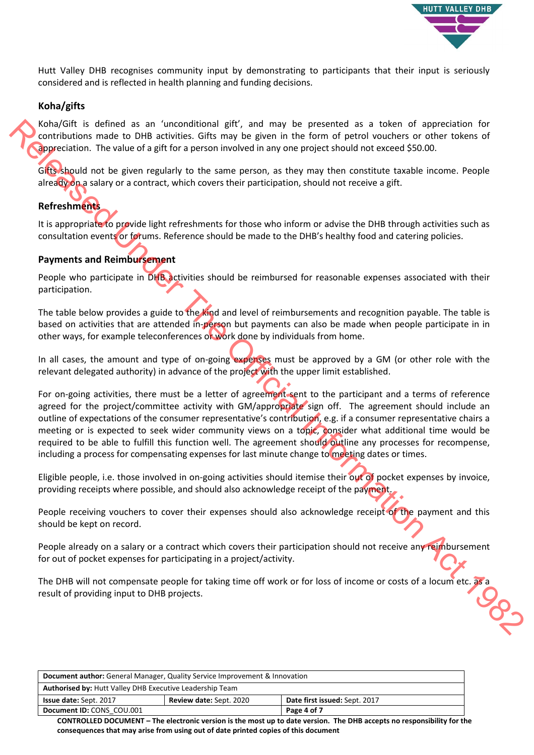

Hutt Valley DHB recognises community input by demonstrating to participants that their input is seriously considered and is reflected in health planning and funding decisions.

#### **Koha/gifts**

Koha/Gift is defined as an 'unconditional gift', and may be presented as a token of appreciation for contributions made to DHB activities. Gifts may be given in the form of petrol vouchers or other tokens of appreciation. The value of a gift for a person involved in any one project should not exceed \$50.00.

Gitts should not be given regularly to the same person, as they may then constitute taxable income. People already on a salary or a contract, which covers their participation, should not receive a gift.

#### **Refreshments**

It is appropriate to provide light refreshments for those who inform or advise the DHB through activities such as consultation events or forums. Reference should be made to the DHB's healthy food and catering policies.

#### **Payments and Reimbursement**

People who participate in DHB activities should be reimbursed for reasonable expenses associated with their participation.

The table below provides a guide to the kind and level of reimbursements and recognition payable. The table is based on activities that are attended in-person but payments can also be made when people participate in in other ways, for example teleconferences or work done by individuals from home.

In all cases, the amount and type of on-going expenses must be approved by a GM (or other role with the relevant delegated authority) in advance of the project with the upper limit established.

For on-going activities, there must be a letter of agreement sent to the participant and a terms of reference agreed for the project/committee activity with GM/appropriate sign off. The agreement should include an outline of expectations of the consumer representative's contribution, e.g. if a consumer representative chairs a meeting or is expected to seek wider community views on a topic, consider what additional time would be required to be able to fulfill this function well. The agreement should outline any processes for recompense, including a process for compensating expenses for last minute change to meeting dates or times. Kehildlike is defined as a "increased under properties" and the presented as a looken of approximation for the properties of the properties of the properties of the state of the Official Information The other of the Offic

Eligible people, i.e. those involved in on-going activities should itemise their out of pocket expenses by invoice, providing receipts where possible, and should also acknowledge receipt of the payment.

People receiving vouchers to cover their expenses should also acknowledge receipt of the payment and this should be kept on record.

People already on a salary or a contract which covers their participation should not receive any reimbursement for out of pocket expenses for participating in a project/activity.

The DHB will not compensate people for taking time off work or for loss of income or costs of a locum etc. as a result of providing input to DHB projects.

| <b>Document author:</b> General Manager, Quality Service Improvement & Innovation                |  |             |
|--------------------------------------------------------------------------------------------------|--|-------------|
| <b>Authorised by: Hutt Valley DHB Executive Leadership Team</b>                                  |  |             |
| Date first issued: Sept. 2017<br><b>Review date: Sept. 2020</b><br><b>Issue date: Sept. 2017</b> |  |             |
| Document ID: CONS COU.001                                                                        |  | Page 4 of 7 |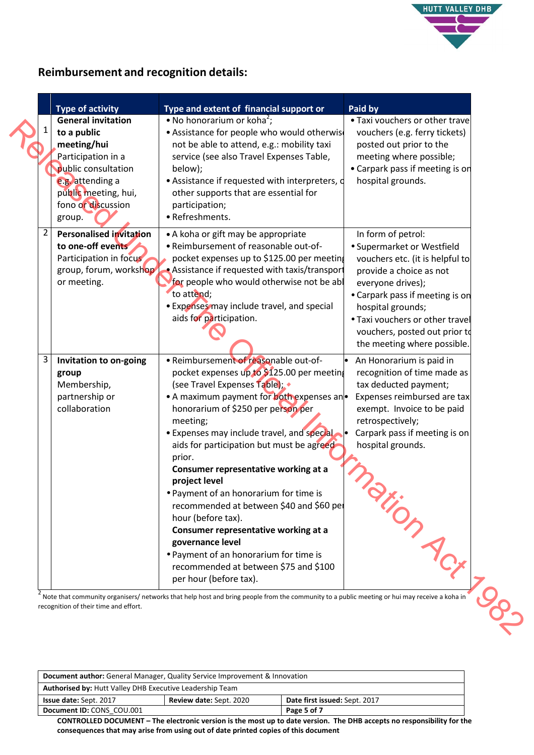

# **Reimbursement and recognition details:**

|                | <b>Type of activity</b>                                                                                                                                                          | Type and extent of financial support or                                                                                                                                                                                                                                                                                                                                                                                                                                                                                                                                                                                                                              | Paid by                                                                                                                                                                                                                                                                                        |
|----------------|----------------------------------------------------------------------------------------------------------------------------------------------------------------------------------|----------------------------------------------------------------------------------------------------------------------------------------------------------------------------------------------------------------------------------------------------------------------------------------------------------------------------------------------------------------------------------------------------------------------------------------------------------------------------------------------------------------------------------------------------------------------------------------------------------------------------------------------------------------------|------------------------------------------------------------------------------------------------------------------------------------------------------------------------------------------------------------------------------------------------------------------------------------------------|
|                | <b>General invitation</b><br>to a public<br>meeting/hui<br>Participation in a<br>public consultation<br>e.g. attending a<br>public meeting, hui,<br>fono or discussion<br>group. | • No honorarium or koha <sup>2</sup> ;<br>• Assistance for people who would otherwis<br>not be able to attend, e.g.: mobility taxi<br>service (see also Travel Expenses Table,<br>below);<br>• Assistance if requested with interpreters, d<br>other supports that are essential for<br>participation;<br>• Refreshments.                                                                                                                                                                                                                                                                                                                                            | • Taxi vouchers or other trave<br>vouchers (e.g. ferry tickets)<br>posted out prior to the<br>meeting where possible;<br>• Carpark pass if meeting is on<br>hospital grounds.                                                                                                                  |
| $\overline{2}$ | <b>Personalised invitation</b><br>to one-off events<br>Participation in focus<br>group, forum, workshop<br>or meeting.                                                           | • A koha or gift may be appropriate<br>• Reimbursement of reasonable out-of-<br>pocket expenses up to \$125.00 per meetin<br>Assistance if requested with taxis/transport<br>for people who would otherwise not be abl<br>to attend;<br>• Expenses may include travel, and special<br>aids for participation.                                                                                                                                                                                                                                                                                                                                                        | In form of petrol:<br>• Supermarket or Westfield<br>vouchers etc. (it is helpful to<br>provide a choice as not<br>everyone drives);<br>• Carpark pass if meeting is on<br>hospital grounds;<br>. Taxi vouchers or other travel<br>vouchers, posted out prior to<br>the meeting where possible. |
| $\mathbf{3}$   | Invitation to on-going<br>group<br>Membership,<br>partnership or<br>collaboration                                                                                                | · Reimbursement of reasonable out-of-<br>pocket expenses up to \$125.00 per meeting<br>(see Travel Expenses Table);<br>• A maximum payment for both expenses an<br>honorarium of \$250 per person per<br>meeting;<br>• Expenses may include travel, and special<br>aids for participation but must be agreed<br>prior.<br>Consumer representative working at a<br>project level<br>• Payment of an honorarium for time is<br>recommended at between \$40 and \$60 pel<br>hour (before tax).<br>Consumer representative working at a<br>governance level<br>• Payment of an honorarium for time is<br>recommended at between \$75 and \$100<br>per hour (before tax). | An Honorarium is paid in<br>$\bullet$<br>recognition of time made as<br>tax deducted payment;<br>Expenses reimbursed are tax<br>exempt. Invoice to be paid<br>retrospectively;<br>Carpark pass if meeting is on<br>hospital grounds.                                                           |

| <b>Document author:</b> General Manager, Quality Service Improvement & Innovation |  |                               |
|-----------------------------------------------------------------------------------|--|-------------------------------|
| <b>Authorised by: Hutt Valley DHB Executive Leadership Team</b>                   |  |                               |
| <b>Review date: Sept. 2020</b><br><b>Issue date: Sept. 2017</b>                   |  | Date first issued: Sept. 2017 |
| Document ID: CONS COU.001                                                         |  | Page 5 of 7                   |
|                                                                                   |  |                               |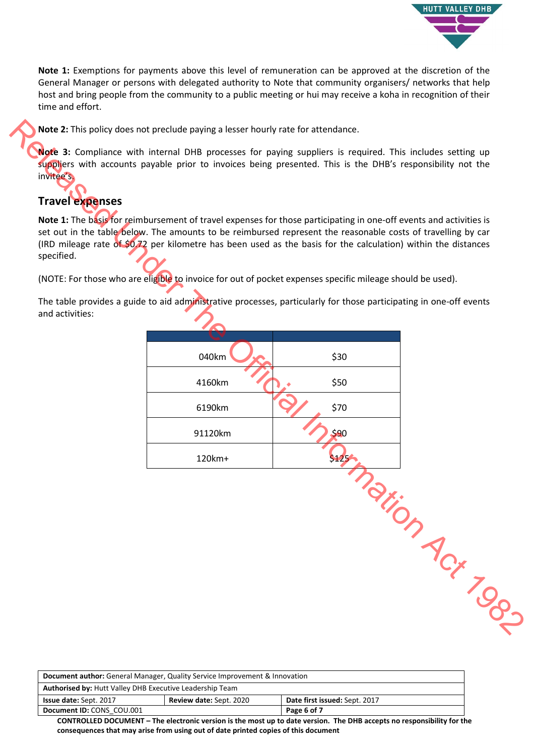

**Note 1:** Exemptions for payments above this level of remuneration can be approved at the discretion of the General Manager or persons with delegated authority to Note that community organisers/ networks that help host and bring people from the community to a public meeting or hui may receive a koha in recognition of their time and effort.

**Note 2:** This policy does not preclude paying a lesser hourly rate for attendance.

**Note 3:** Compliance with internal DHB processes for paying suppliers is required. This includes setting up suppliers with accounts payable prior to invoices being presented. This is the DHB's responsibility not the invitee's.

# **Travel expenses**

**Note 1:** The basis for reimbursement of travel expenses for those participating in one-off events and activities is set out in the table below. The amounts to be reimbursed represent the reasonable costs of travelling by car (IRD mileage rate of \$0.72 per kilometre has been used as the basis for the calculation) within the distances specified.

(NOTE: For those who are eligible to invoice for out of pocket expenses specific mileage should be used).

The table provides a guide to aid administrative processes, particularly for those participating in one-off events and activities:

| 040km   | \$30  |                 |
|---------|-------|-----------------|
| 4160km  | \$50  |                 |
| 6190km  | \$70  |                 |
| 91120km | \$90  |                 |
| 120km+  | \$125 |                 |
|         |       | Taxion Acx 1982 |
|         |       |                 |

| <b>Document author:</b> General Manager, Quality Service Improvement & Innovation                                                                                                                                             |  |             |
|-------------------------------------------------------------------------------------------------------------------------------------------------------------------------------------------------------------------------------|--|-------------|
| <b>Authorised by: Hutt Valley DHB Executive Leadership Team</b>                                                                                                                                                               |  |             |
| Date first issued: Sept. 2017<br><b>Review date: Sept. 2020</b><br><b>Issue date: Sept. 2017</b>                                                                                                                              |  |             |
| Document ID: CONS COU.001                                                                                                                                                                                                     |  | Page 6 of 7 |
| A A REPORT IN A REPORT OF THE RESIDENCE OF THE RELEASE OF THE RELEASE OF THE RELEASE OF THE RELEASE OF THE RELEASE OF THE RELEASE OF THE RELEASE OF THE RELEASE OF THE RELEASE OF THE RELEASE OF THE RELEASE OF THE RELEASE O |  |             |